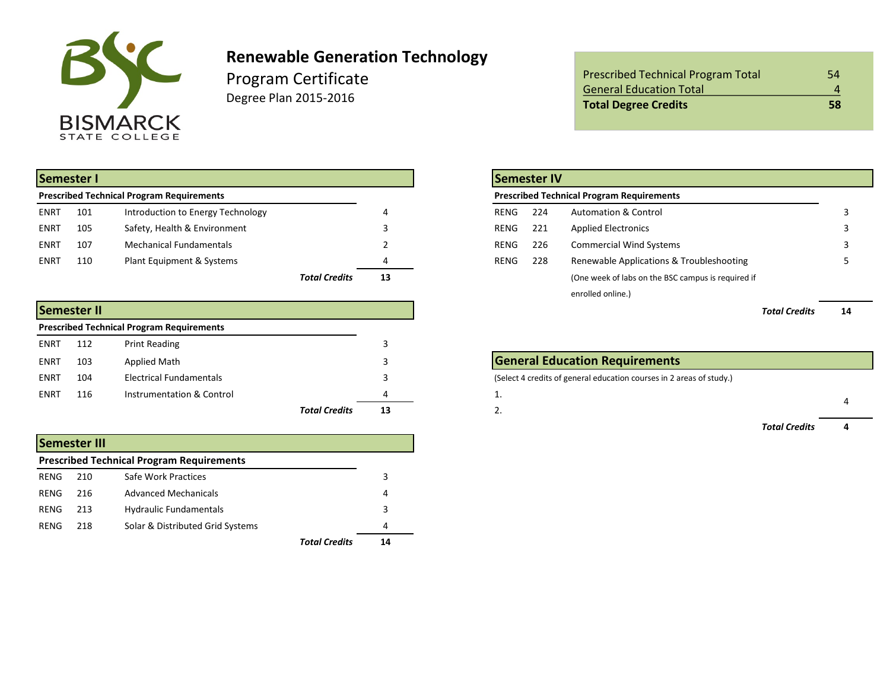

## **Renewable Generation Technology**

Program Certificate Degree Plan 2015-2016

| Semester I                                       |     |                                   |               |    | Semester IV                                             |  |
|--------------------------------------------------|-----|-----------------------------------|---------------|----|---------------------------------------------------------|--|
| <b>Prescribed Technical Program Requirements</b> |     |                                   |               |    | <b>Prescribed Technical Program Requirements</b>        |  |
| <b>ENRT</b>                                      | 101 | Introduction to Energy Technology |               |    | 224<br><b>Automation &amp; Control</b><br>RENG          |  |
| ENRT                                             | 105 | Safety, Health & Environment      |               |    | <b>Applied Electronics</b><br>RENG<br>221               |  |
| <b>ENRT</b>                                      | 107 | <b>Mechanical Fundamentals</b>    |               |    | <b>Commercial Wind Systems</b><br>226<br>RENG           |  |
| <b>ENRT</b>                                      | 110 | Plant Equipment & Systems         |               | 4  | Renewable Applications & Troubleshooting<br>228<br>RENG |  |
|                                                  |     |                                   | Total Credits | 13 | (One week of labs on the BSC campus is required if      |  |

|             | <b>Semester II</b> |                                                  |                      |    |                                                                      | <b>Total Credits</b> | 14 |
|-------------|--------------------|--------------------------------------------------|----------------------|----|----------------------------------------------------------------------|----------------------|----|
|             |                    | <b>Prescribed Technical Program Requirements</b> |                      |    |                                                                      |                      |    |
| ENRT        | 112                | Print Reading                                    |                      |    |                                                                      |                      |    |
| ENRT        | 103                | Applied Math                                     |                      |    | <b>General Education Requirements</b>                                |                      |    |
| <b>ENRT</b> | 104                | <b>Electrical Fundamentals</b>                   |                      |    | (Select 4 credits of general education courses in 2 areas of study.) |                      |    |
| <b>ENRT</b> | 116                | Instrumentation & Control                        |                      |    | . .                                                                  |                      |    |
|             |                    |                                                  | <b>Total Credits</b> | 13 | <u></u>                                                              |                      |    |

|                                                  | <b>Semester III</b> |                                  |               |    |  |  |  |  |  |
|--------------------------------------------------|---------------------|----------------------------------|---------------|----|--|--|--|--|--|
| <b>Prescribed Technical Program Requirements</b> |                     |                                  |               |    |  |  |  |  |  |
| RENG                                             | 210                 | Safe Work Practices              |               | 3  |  |  |  |  |  |
| RENG                                             | 216                 | <b>Advanced Mechanicals</b>      |               | 4  |  |  |  |  |  |
| RENG                                             | 213                 | <b>Hydraulic Fundamentals</b>    |               | 3  |  |  |  |  |  |
| RENG                                             | 218                 | Solar & Distributed Grid Systems |               | 4  |  |  |  |  |  |
|                                                  |                     |                                  | Total Credits | 14 |  |  |  |  |  |

| <b>Prescribed Technical Program Total</b> | 54 |
|-------------------------------------------|----|
| <b>General Education Total</b>            | 4  |
| <b>Total Degree Credits</b>               | 58 |

|                      |    |             | <b>Semester IV</b> |                                                    |     |
|----------------------|----|-------------|--------------------|----------------------------------------------------|-----|
|                      |    |             |                    | <b>Prescribed Technical Program Requirements</b>   |     |
|                      | 4  | <b>RENG</b> | 224                | <b>Automation &amp; Control</b>                    |     |
|                      | 3  | RENG        | 221                | <b>Applied Electronics</b>                         |     |
|                      |    | <b>RENG</b> | 226                | <b>Commercial Wind Systems</b>                     |     |
|                      | 4  | <b>RENG</b> | 228                | Renewable Applications & Troubleshooting           |     |
| <b>Total Credits</b> | 13 |             |                    | (One week of labs on the BSC campus is required if |     |
|                      |    |             |                    | enrolled online.)                                  |     |
|                      |    |             |                    | _                                                  | . . |

| <b>General Education Requirements</b>                                |                      |   |  |  |  |  |
|----------------------------------------------------------------------|----------------------|---|--|--|--|--|
| (Select 4 credits of general education courses in 2 areas of study.) |                      |   |  |  |  |  |
|                                                                      |                      | 4 |  |  |  |  |
|                                                                      |                      |   |  |  |  |  |
|                                                                      | <b>Total Credits</b> |   |  |  |  |  |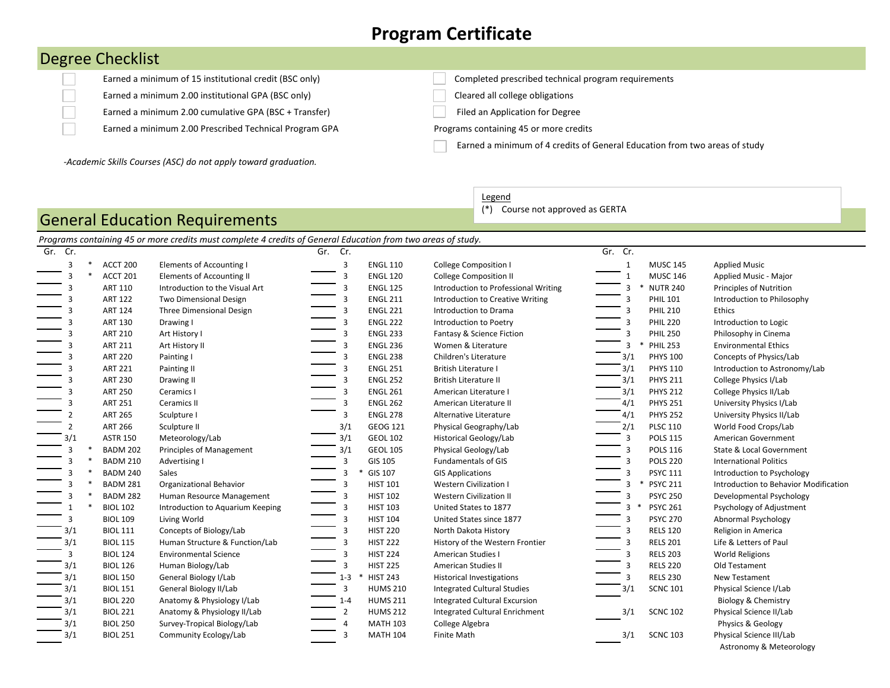## **Program Certificate**

## Degree Checklist

 $\Box$  $\Box$  $\Box$ 

Earned a minimum 2.00 institutional GPA (BSC only) Cleared all college obligations

Earned a minimum 2.00 cumulative GPA (BSC + Transfer) Filed an Application for Degree

Earned a minimum 2.00 Prescribed Technical Program GPA Programs containing 45 or more credits

Earned a minimum of 15 institutional credit (BSC only) Completed prescribed technical program requirements

Earned a minimum of 4 credits of General Education from two areas of study

*-Academic Skills Courses (ASC) do not apply toward graduation.*

General Education Requirements

**Legend** 

(\*) Course not approved as GERTA

|         |                 | Programs containing 45 or more credits must complete 4 credits of General Education from two areas of study. |         |                 |                                      |                         |                      |                                                     |
|---------|-----------------|--------------------------------------------------------------------------------------------------------------|---------|-----------------|--------------------------------------|-------------------------|----------------------|-----------------------------------------------------|
| Gr. Cr. |                 |                                                                                                              | Gr. Cr. |                 |                                      | Gr. Cr.                 |                      |                                                     |
| 3       | ACCT 200        | <b>Elements of Accounting I</b>                                                                              | 3       | <b>ENGL 110</b> | <b>College Composition I</b>         | 1                       | <b>MUSC 145</b>      | <b>Applied Music</b>                                |
|         | ACCT 201        | Elements of Accounting II                                                                                    | 3       | <b>ENGL 120</b> | <b>College Composition II</b>        |                         | <b>MUSC 146</b>      | Applied Music - Major                               |
|         | ART 110         | Introduction to the Visual Art                                                                               |         | <b>ENGL 125</b> | Introduction to Professional Writing |                         | <b>NUTR 240</b>      | Principles of Nutrition                             |
| 3       | <b>ART 122</b>  | <b>Two Dimensional Design</b>                                                                                |         | <b>ENGL 211</b> | Introduction to Creative Writing     |                         | <b>PHIL 101</b>      | Introduction to Philosophy                          |
| 3       | <b>ART 124</b>  | Three Dimensional Design                                                                                     |         | <b>ENGL 221</b> | Introduction to Drama                |                         | <b>PHIL 210</b>      | Ethics                                              |
| 3       | <b>ART 130</b>  | Drawing I                                                                                                    |         | <b>ENGL 222</b> | Introduction to Poetry               |                         | <b>PHIL 220</b>      | Introduction to Logic                               |
| 3       | <b>ART 210</b>  | Art History I                                                                                                | 3       | <b>ENGL 233</b> | Fantasy & Science Fiction            |                         | <b>PHIL 250</b>      | Philosophy in Cinema                                |
| 3       | <b>ART 211</b>  | Art History II                                                                                               | 3       | <b>ENGL 236</b> | Women & Literature                   | $\overline{\mathbf{3}}$ | <b>PHIL 253</b><br>∗ | <b>Environmental Ethics</b>                         |
| 3       | <b>ART 220</b>  | Painting I                                                                                                   | 3       | <b>ENGL 238</b> | Children's Literature                | 3/1                     | <b>PHYS 100</b>      | Concepts of Physics/Lab                             |
| 3       | <b>ART 221</b>  | Painting II                                                                                                  | 3       | <b>ENGL 251</b> | <b>British Literature I</b>          | 3/1                     | <b>PHYS 110</b>      | Introduction to Astronomy/Lab                       |
| 3       | <b>ART 230</b>  | Drawing II                                                                                                   | 3       | <b>ENGL 252</b> | <b>British Literature II</b>         | 3/1                     | <b>PHYS 211</b>      | College Physics I/Lab                               |
| 3       | <b>ART 250</b>  | Ceramics I                                                                                                   | 3       | <b>ENGL 261</b> | American Literature I                | 3/1                     | <b>PHYS 212</b>      | College Physics II/Lab                              |
|         | <b>ART 251</b>  | Ceramics II                                                                                                  | 3       | <b>ENGL 262</b> | American Literature II               | 4/1                     | <b>PHYS 251</b>      | University Physics I/Lab                            |
|         | <b>ART 265</b>  | Sculpture I                                                                                                  | 3       | <b>ENGL 278</b> | Alternative Literature               | 4/1                     | <b>PHYS 252</b>      | University Physics II/Lab                           |
|         | <b>ART 266</b>  | Sculpture II                                                                                                 | 3/1     | GEOG 121        | Physical Geography/Lab               | 2/1                     | <b>PLSC 110</b>      | World Food Crops/Lab                                |
| 3/1     | <b>ASTR 150</b> | Meteorology/Lab                                                                                              | 3/1     | <b>GEOL 102</b> | Historical Geology/Lab               | 3                       | <b>POLS 115</b>      | American Government                                 |
|         | <b>BADM 202</b> | <b>Principles of Management</b>                                                                              | 3/1     | <b>GEOL 105</b> | Physical Geology/Lab                 |                         | <b>POLS 116</b>      | State & Local Government                            |
|         | <b>BADM 210</b> | Advertising I                                                                                                | 3       | GIS 105         | <b>Fundamentals of GIS</b>           |                         | <b>POLS 220</b>      | <b>International Politics</b>                       |
|         | <b>BADM 240</b> | Sales                                                                                                        | 3       | GIS 107         | <b>GIS Applications</b>              |                         | <b>PSYC 111</b>      | Introduction to Psychology                          |
|         | <b>BADM 281</b> | Organizational Behavior                                                                                      | 3       | <b>HIST 101</b> | <b>Western Civilization I</b>        | $\ast$<br>3             | <b>PSYC 211</b>      | Introduction to Behavior Modification               |
| 3       | <b>BADM 282</b> | Human Resource Management                                                                                    | 3       | <b>HIST 102</b> | <b>Western Civilization II</b>       | 3                       | <b>PSYC 250</b>      | Developmental Psychology                            |
|         | <b>BIOL 102</b> | Introduction to Aquarium Keeping                                                                             | 3       | <b>HIST 103</b> | United States to 1877                | 3<br>$\ast$             | <b>PSYC 261</b>      | Psychology of Adjustment                            |
| 3       | <b>BIOL 109</b> | Living World                                                                                                 | 3       | <b>HIST 104</b> | United States since 1877             | 3                       | <b>PSYC 270</b>      | Abnormal Psychology                                 |
| 3/1     | <b>BIOL 111</b> | Concepts of Biology/Lab                                                                                      | 3       | <b>HIST 220</b> | North Dakota History                 | 3                       | <b>RELS 120</b>      | Religion in America                                 |
| 3/1     | <b>BIOL 115</b> | Human Structure & Function/Lab                                                                               |         | <b>HIST 222</b> | History of the Western Frontier      |                         | <b>RELS 201</b>      | Life & Letters of Paul                              |
| 3       | <b>BIOL 124</b> | <b>Environmental Science</b>                                                                                 |         | <b>HIST 224</b> | <b>American Studies I</b>            |                         | <b>RELS 203</b>      | World Religions                                     |
| 3/1     | <b>BIOL 126</b> | Human Biology/Lab                                                                                            | 3       | <b>HIST 225</b> | <b>American Studies II</b>           |                         | <b>RELS 220</b>      | Old Testament                                       |
| 3/1     | <b>BIOL 150</b> | General Biology I/Lab                                                                                        | $1 - 3$ | <b>HIST 243</b> | <b>Historical Investigations</b>     |                         | <b>RELS 230</b>      | New Testament                                       |
| 3/1     | <b>BIOL 151</b> | General Biology II/Lab                                                                                       | 3       | <b>HUMS 210</b> | <b>Integrated Cultural Studies</b>   | 3/1                     | <b>SCNC 101</b>      | Physical Science I/Lab                              |
| 3/1     | <b>BIOL 220</b> | Anatomy & Physiology I/Lab                                                                                   | $1 - 4$ | <b>HUMS 211</b> | <b>Integrated Cultural Excursion</b> |                         |                      | Biology & Chemistry                                 |
| 3/1     | <b>BIOL 221</b> | Anatomy & Physiology II/Lab                                                                                  | 2       | <b>HUMS 212</b> | Integrated Cultural Enrichment       | 3/1                     | <b>SCNC 102</b>      | Physical Science II/Lab                             |
| 3/1     | <b>BIOL 250</b> | Survey-Tropical Biology/Lab                                                                                  | 4       | <b>MATH 103</b> | College Algebra                      |                         |                      | Physics & Geology                                   |
| 3/1     | <b>BIOL 251</b> | Community Ecology/Lab                                                                                        |         | <b>MATH 104</b> | Finite Math                          | 3/1                     | <b>SCNC 103</b>      | Physical Science III/Lab<br>Astronomy & Meteorology |